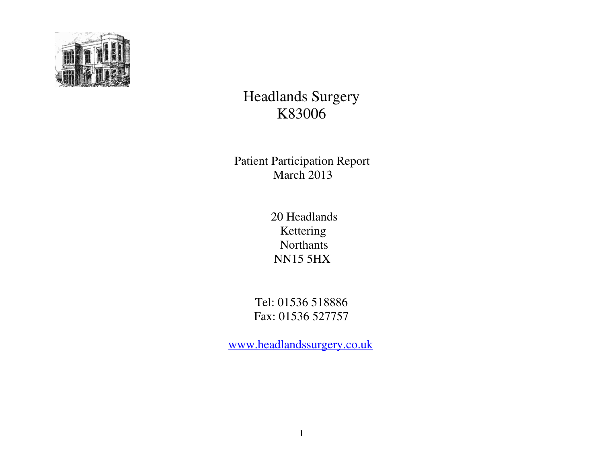

# Headlands Surgery K83006

 Patient Participation Report March 2013

 20 Headlands Kettering Northants NN15 5HX

> Tel: 01536 518886 Fax: 01536 527757

www.headlandssurgery.co.uk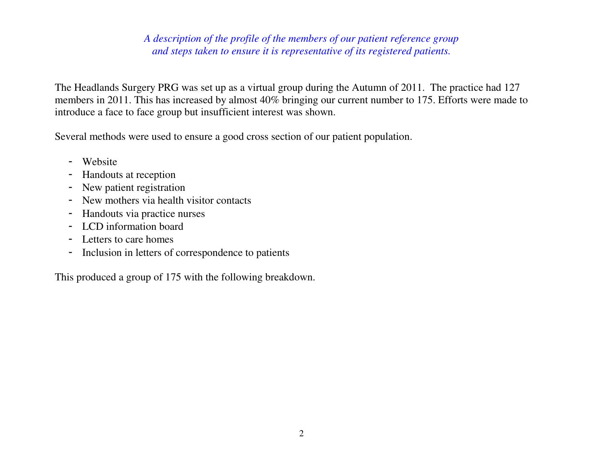# *A description of the profile of the members of our patient reference group and steps taken to ensure it is representative of its registered patients.*

The Headlands Surgery PRG was set up as a virtual group during the Autumn of 2011. The practice had 127 members in 2011. This has increased by almost 40% bringing our current number to 175. Efforts were made to introduce a face to face group but insufficient interest was shown.

Several methods were used to ensure a good cross section of our patient population.

- Website
- Handouts at reception
- New patient registration
- New mothers via health visitor contacts
- Handouts via practice nurses
- LCD information board
- Letters to care homes
- Inclusion in letters of correspondence to patients

This produced a group of 175 with the following breakdown.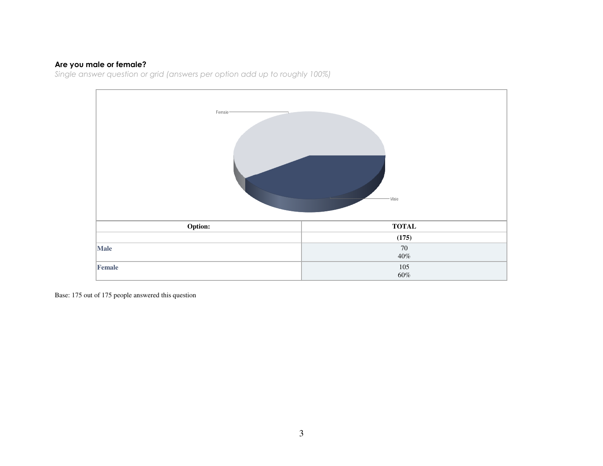**Are you male or female?**<br>Single answer question or grid (answers per option add up to roughly 100%)

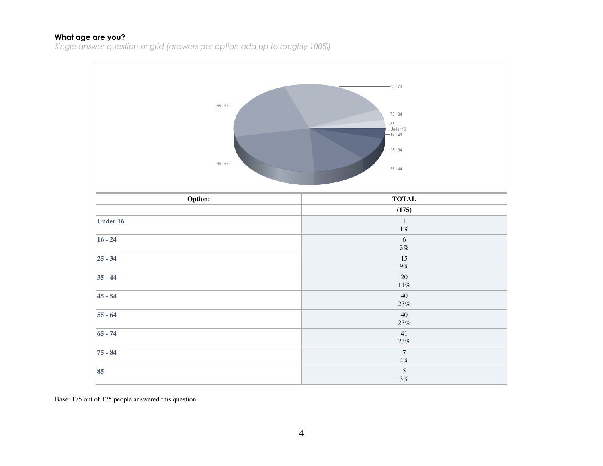#### What age are you?

Single answer question or grid (answers per option add up to roughly 100%)

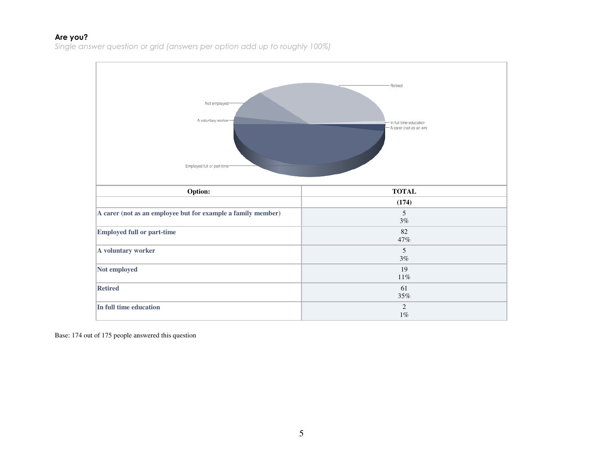#### Are you?

Single answer question or grid (answers per option add up to roughly 100%)

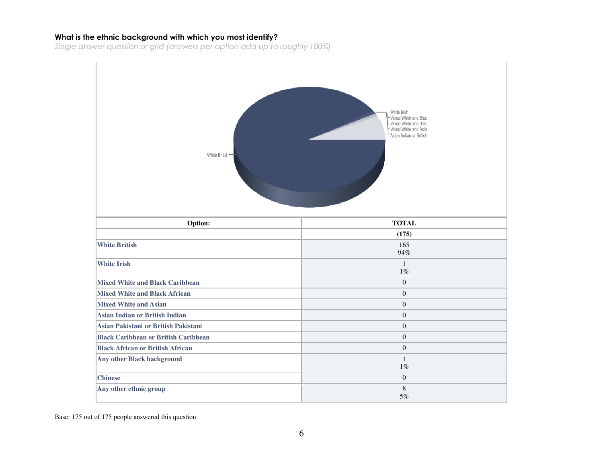#### What is the ethnic background with which you most identify?

Single answer question or grid (answers per option add up to roughly 100%)

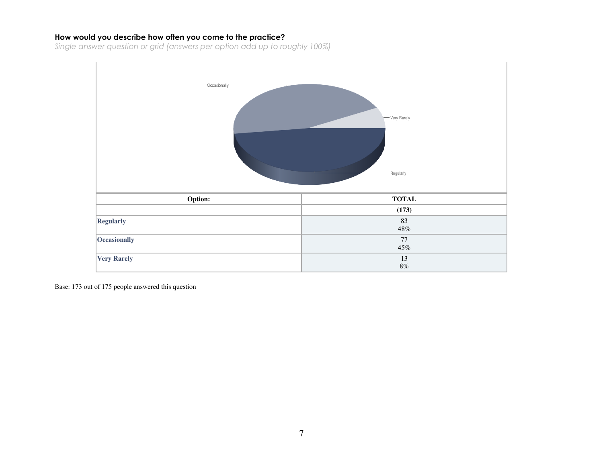### How would you describe how often you come to the practice?

Single answer question or grid (answers per option add up to roughly 100%)

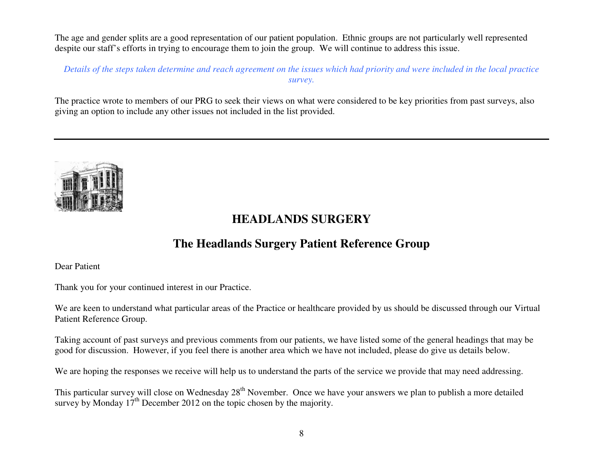The age and gender splits are a good representation of our patient population. Ethnic groups are not particularly well represented despite our staff's efforts in trying to encourage them to join the group. We will continue to address this issue.

*Details of the steps taken determine and reach agreement on the issues which had priority and were included in the local practice survey.* 

The practice wrote to members of our PRG to seek their views on what were considered to be key priorities from past surveys, also giving an option to include any other issues not included in the list provided.



# **HEADLANDS SURGERY**

# **The Headlands Surgery Patient Reference Group**

Dear Patient

Thank you for your continued interest in our Practice.

We are keen to understand what particular areas of the Practice or healthcare provided by us should be discussed through our Virtual Patient Reference Group.

Taking account of past surveys and previous comments from our patients, we have listed some of the general headings that may be good for discussion. However, if you feel there is another area which we have not included, please do give us details below.

We are hoping the responses we receive will help us to understand the parts of the service we provide that may need addressing.

This particular survey will close on Wednesday  $28<sup>th</sup>$  November. Once we have your answers we plan to publish a more detailed survey by Monday  $17<sup>th</sup>$  December 2012 on the topic chosen by the majority.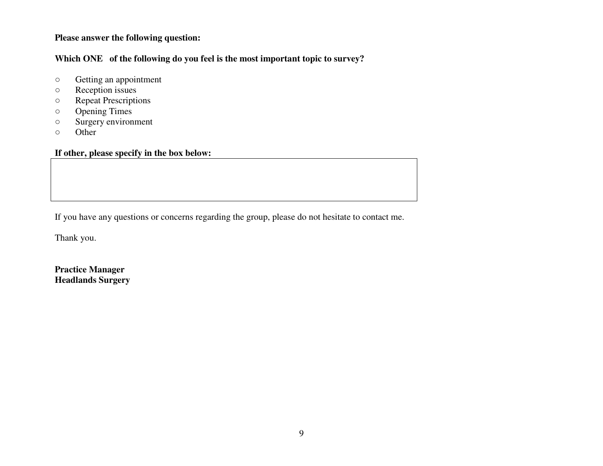### **Please answer the following question:**

**Which ONE of the following do you feel is the most important topic to survey?** 

- $\circ$  $\circ$  Getting an appointment  $\circ$  Reception issues
- Reception issues
- Repeat Prescriptions
- Opening Times
- Surgery environment
- Other

# **If other, please specify in the box below:**

If you have any questions or concerns regarding the group, please do not hesitate to contact me.

Thank you.

**Practice Manager Headlands Surgery**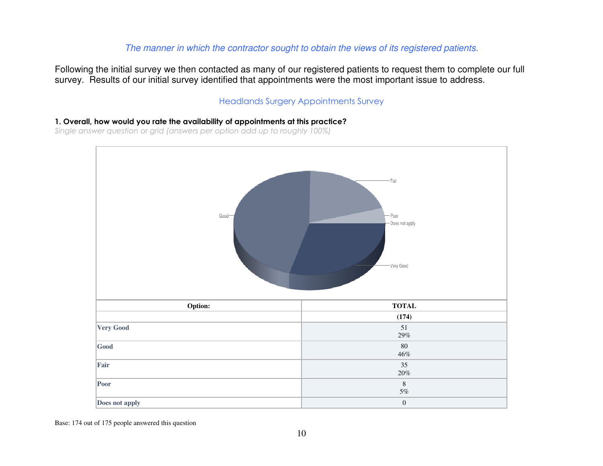# The manner in which the contractor sought to obtain the views of its registered patients.

Following the initial survey we then contacted as many of our registered patients to request them to complete our full survey. Results of our initial survey identified that appointments were the most important issue to address.

### Headlands Surgery Appointments Survey

1. Overall, how would you rate the availability of appointments at this practice?

Single answer question or grid (answers per option add up to roughly 100%)

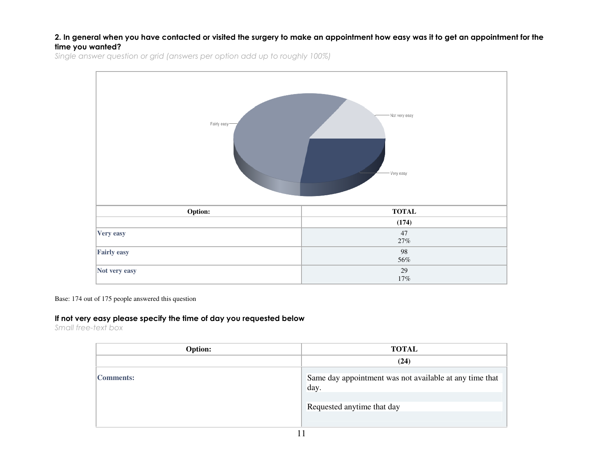#### 2. In general when you have contacted or visited the surgery to make an appointment how easy was it to get an appointment for the time you wanted?

Single answer question or grid (answers per option add up to roughly 100%)



Base: 174 out of 175 people answered this question

#### If not very easy please specify the time of day you requested below

Small free-text box

| Option:   | <b>TOTAL</b>                                                                                  |
|-----------|-----------------------------------------------------------------------------------------------|
|           | (24)                                                                                          |
| Comments: | Same day appointment was not available at any time that<br>day.<br>Requested anytime that day |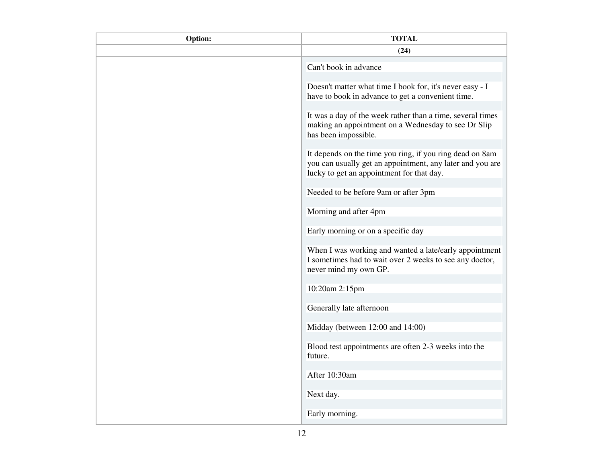| Option: | <b>TOTAL</b>                                                                                                                                                       |
|---------|--------------------------------------------------------------------------------------------------------------------------------------------------------------------|
|         | (24)                                                                                                                                                               |
|         | Can't book in advance                                                                                                                                              |
|         | Doesn't matter what time I book for, it's never easy - I<br>have to book in advance to get a convenient time.                                                      |
|         | It was a day of the week rather than a time, several times<br>making an appointment on a Wednesday to see Dr Slip<br>has been impossible.                          |
|         | It depends on the time you ring, if you ring dead on 8am<br>you can usually get an appointment, any later and you are<br>lucky to get an appointment for that day. |
|         | Needed to be before 9am or after 3pm                                                                                                                               |
|         | Morning and after 4pm                                                                                                                                              |
|         | Early morning or on a specific day                                                                                                                                 |
|         | When I was working and wanted a late/early appointment<br>I sometimes had to wait over 2 weeks to see any doctor,<br>never mind my own GP.                         |
|         | 10:20am 2:15pm                                                                                                                                                     |
|         | Generally late afternoon                                                                                                                                           |
|         | Midday (between 12:00 and 14:00)                                                                                                                                   |
|         | Blood test appointments are often 2-3 weeks into the<br>future.                                                                                                    |
|         | After 10:30am                                                                                                                                                      |
|         | Next day.                                                                                                                                                          |
|         | Early morning.                                                                                                                                                     |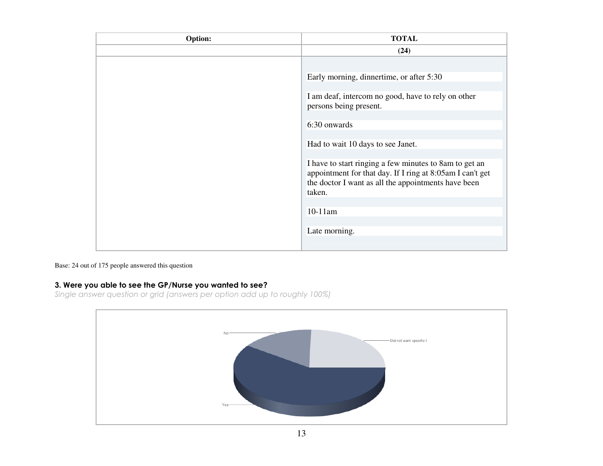| Option: | <b>TOTAL</b>                                                                                                                                                                         |
|---------|--------------------------------------------------------------------------------------------------------------------------------------------------------------------------------------|
|         | (24)                                                                                                                                                                                 |
|         |                                                                                                                                                                                      |
|         | Early morning, dinnertime, or after 5:30                                                                                                                                             |
|         | I am deaf, intercom no good, have to rely on other<br>persons being present.                                                                                                         |
|         | 6:30 onwards                                                                                                                                                                         |
|         | Had to wait 10 days to see Janet.                                                                                                                                                    |
|         | I have to start ringing a few minutes to 8am to get an<br>appointment for that day. If I ring at 8:05am I can't get<br>the doctor I want as all the appointments have been<br>taken. |
|         | $10-11$ am                                                                                                                                                                           |
|         | Late morning.                                                                                                                                                                        |
|         |                                                                                                                                                                                      |

#### Base: 24 out of 175 people answered this question

3. Were you able to see the GP/Nurse you wanted to see? Single answer question or grid (answers per option add up to roughly 100%)

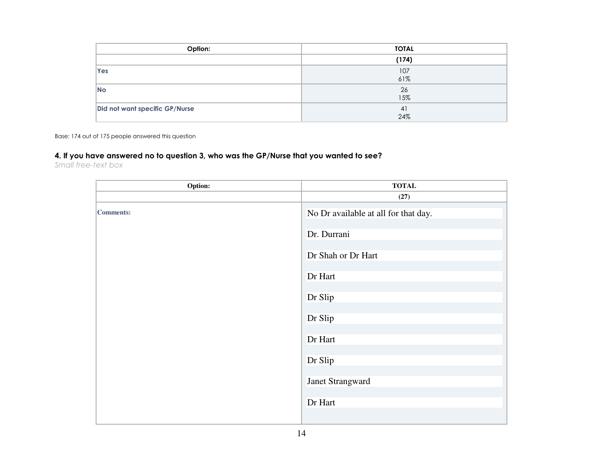| Option:                        | <b>TOTAL</b> |
|--------------------------------|--------------|
|                                | (174)        |
| Yes                            | 107<br>61%   |
| <b>No</b>                      | 26<br>15%    |
| Did not want specific GP/Nurse | 41<br>24%    |

Base: 174 out of 175 people answered this question

### 4. If you have answered no to question 3, who was the GP/Nurse that you wanted to see?

Small free-text box

| Option:   | <b>TOTAL</b>                         |
|-----------|--------------------------------------|
|           | (27)                                 |
| Comments: | No Dr available at all for that day. |
|           | Dr. Durrani                          |
|           | Dr Shah or Dr Hart                   |
|           | Dr Hart                              |
|           | Dr Slip                              |
|           | Dr Slip                              |
|           | Dr Hart                              |
|           | Dr Slip                              |
|           | Janet Strangward                     |
|           | Dr Hart                              |
|           |                                      |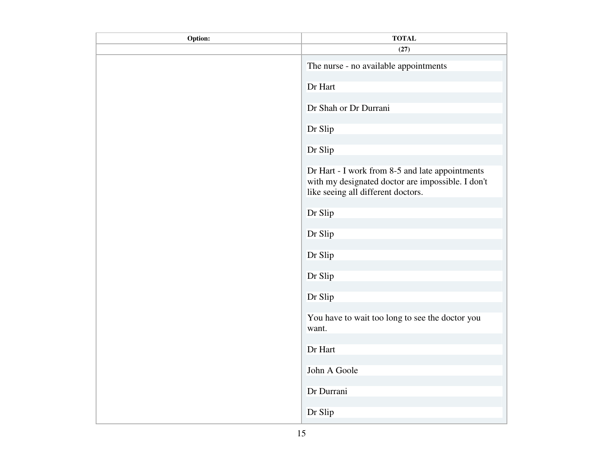| Option: | <b>TOTAL</b>                                                                                                                               |
|---------|--------------------------------------------------------------------------------------------------------------------------------------------|
|         | (27)                                                                                                                                       |
|         | The nurse - no available appointments                                                                                                      |
|         | Dr Hart                                                                                                                                    |
|         | Dr Shah or Dr Durrani                                                                                                                      |
|         | Dr Slip                                                                                                                                    |
|         | Dr Slip                                                                                                                                    |
|         | Dr Hart - I work from 8-5 and late appointments<br>with my designated doctor are impossible. I don't<br>like seeing all different doctors. |
|         | Dr Slip                                                                                                                                    |
|         | Dr Slip                                                                                                                                    |
|         | Dr Slip                                                                                                                                    |
|         | Dr Slip                                                                                                                                    |
|         | Dr Slip                                                                                                                                    |
|         | You have to wait too long to see the doctor you<br>want.                                                                                   |
|         | Dr Hart                                                                                                                                    |
|         | John A Goole                                                                                                                               |
|         | Dr Durrani                                                                                                                                 |
|         | Dr Slip                                                                                                                                    |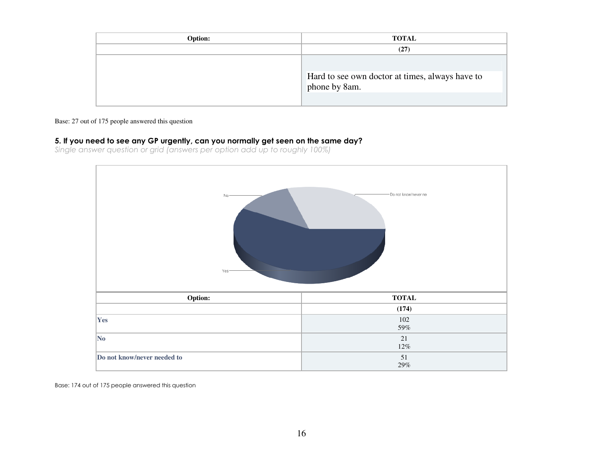| Option: | <b>TOTAL</b>                                                     |
|---------|------------------------------------------------------------------|
|         | (27)                                                             |
|         | Hard to see own doctor at times, always have to<br>phone by 8am. |

#### Base: 27 out of 175 people answered this question

#### 5. If you need to see any GP urgently, can you normally get seen on the same day?

Single answer question or grid (answers per option add up to roughly 100%)

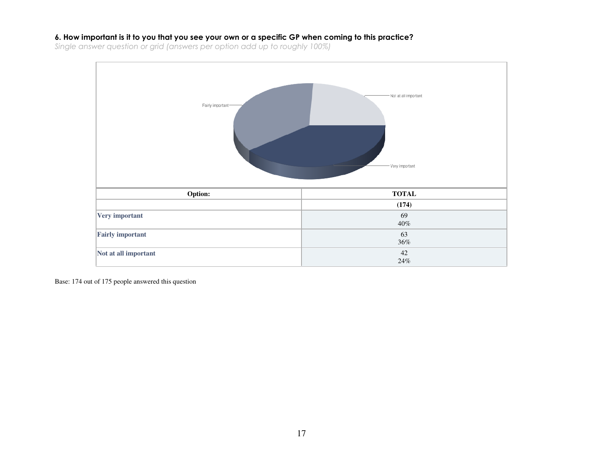#### 6. How important is it to you that you see your own or a specific GP when coming to this practice?

Single answer question or grid (answers per option add up to roughly 100%)

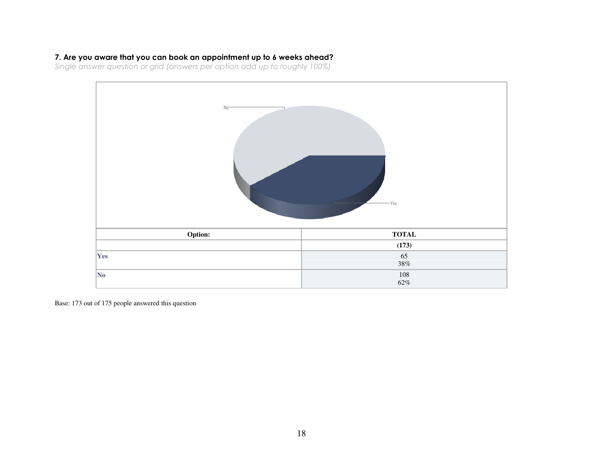# 7. Are you aware that you can book an appointment up to 6 weeks ahead?

Single answer question or grid (answers per option add up to roughly 100%)

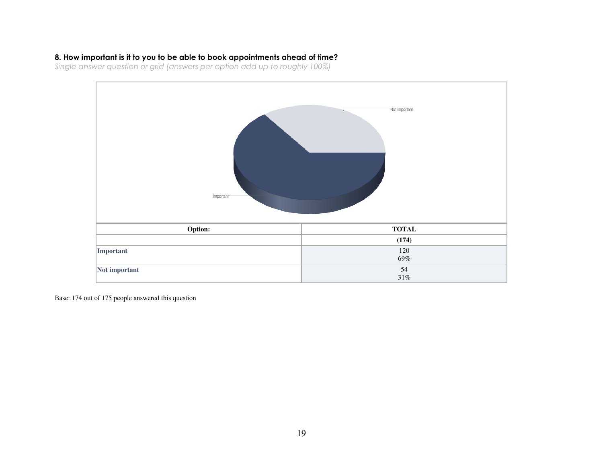### 8. How important is it to you to be able to book appointments ahead of time?

Single answer question or grid (answers per option add up to roughly 100%)

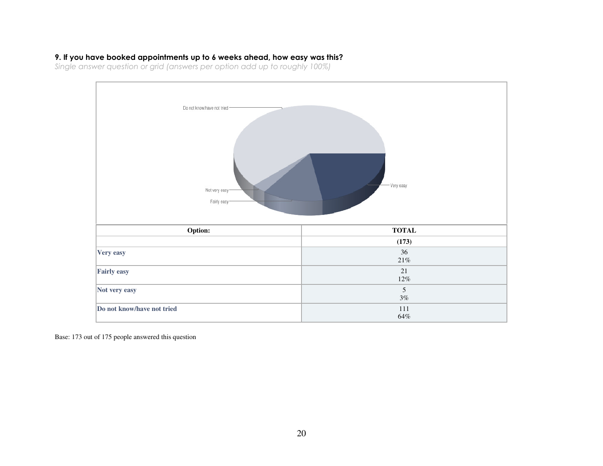#### 9. If you have booked appointments up to 6 weeks ahead, how easy was this?

Single answer question or grid (answers per option add up to roughly 100%)

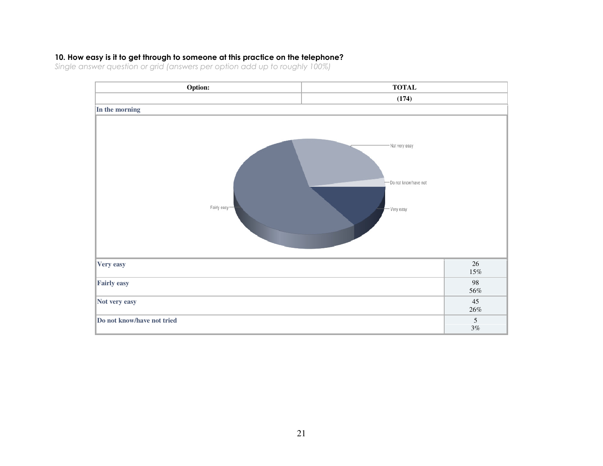### 10. How easy is it to get through to someone at this practice on the telephone?

Single answer question or grid (answers per option add up to roughly 100%)

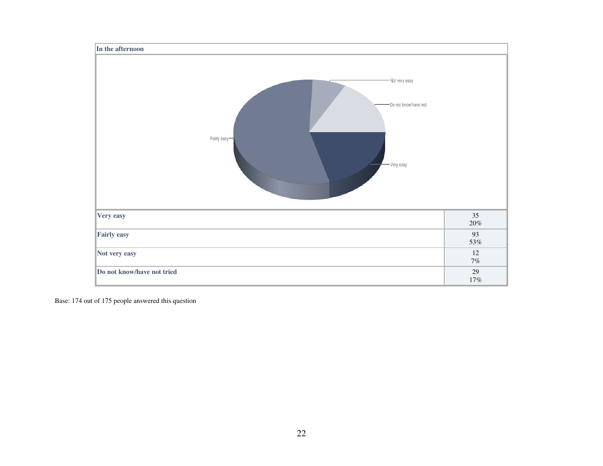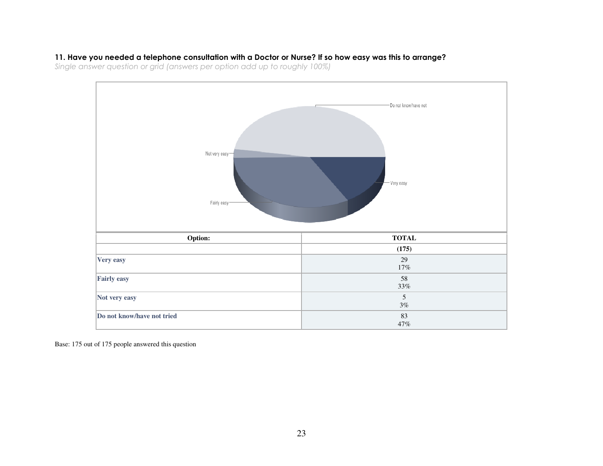#### 11. Have you needed a telephone consultation with a Doctor or Nurse? If so how easy was this to arrange?

Single answer question or grid (answers per option add up to roughly 100%)

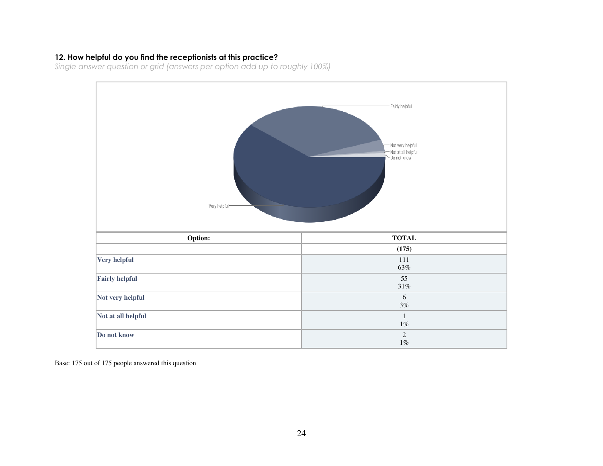#### 12. How helpful do you find the receptionists at this practice?

Single answer question or grid (answers per option add up to roughly 100%)

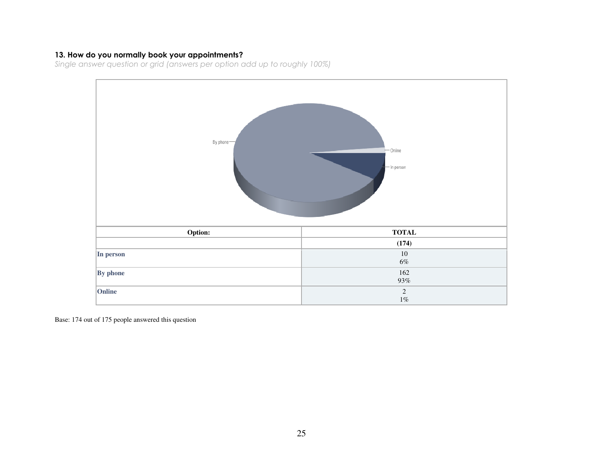**13. How do you normally book your appointments?**<br>Single answer question or grid (answers per option add up to roughly 100%)

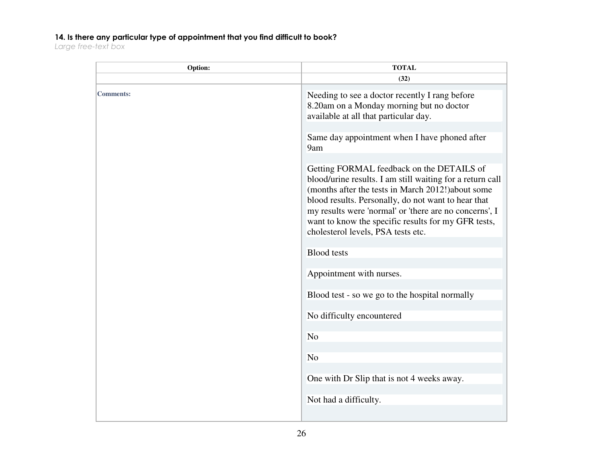# 14. Is there any particular type of appointment that you find difficult to book?

Large free-text box

| Option:          | <b>TOTAL</b>                                                                                                                                                                                                                                                                                                                                                               |
|------------------|----------------------------------------------------------------------------------------------------------------------------------------------------------------------------------------------------------------------------------------------------------------------------------------------------------------------------------------------------------------------------|
|                  | (32)                                                                                                                                                                                                                                                                                                                                                                       |
| <b>Comments:</b> | Needing to see a doctor recently I rang before<br>8.20am on a Monday morning but no doctor<br>available at all that particular day.                                                                                                                                                                                                                                        |
|                  | Same day appointment when I have phoned after<br>9am                                                                                                                                                                                                                                                                                                                       |
|                  | Getting FORMAL feedback on the DETAILS of<br>blood/urine results. I am still waiting for a return call<br>(months after the tests in March 2012!) about some<br>blood results. Personally, do not want to hear that<br>my results were 'normal' or 'there are no concerns', I<br>want to know the specific results for my GFR tests,<br>cholesterol levels, PSA tests etc. |
|                  | <b>Blood</b> tests                                                                                                                                                                                                                                                                                                                                                         |
|                  | Appointment with nurses.                                                                                                                                                                                                                                                                                                                                                   |
|                  | Blood test - so we go to the hospital normally                                                                                                                                                                                                                                                                                                                             |
|                  | No difficulty encountered                                                                                                                                                                                                                                                                                                                                                  |
|                  | N <sub>o</sub>                                                                                                                                                                                                                                                                                                                                                             |
|                  | N <sub>o</sub>                                                                                                                                                                                                                                                                                                                                                             |
|                  | One with Dr Slip that is not 4 weeks away.                                                                                                                                                                                                                                                                                                                                 |
|                  | Not had a difficulty.                                                                                                                                                                                                                                                                                                                                                      |
|                  |                                                                                                                                                                                                                                                                                                                                                                            |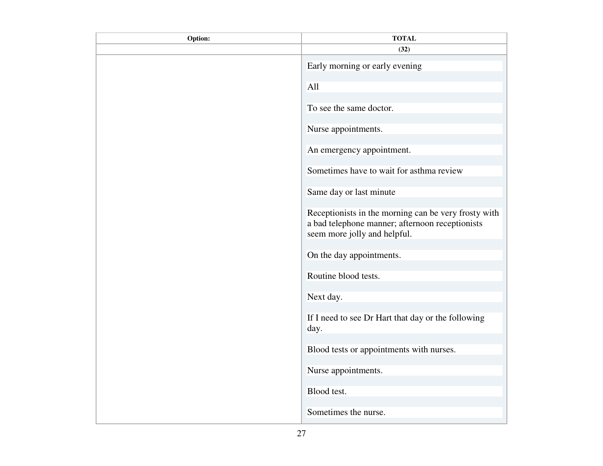| Option: | <b>TOTAL</b>                                                                                                                            |
|---------|-----------------------------------------------------------------------------------------------------------------------------------------|
|         | (32)                                                                                                                                    |
|         | Early morning or early evening                                                                                                          |
|         | All                                                                                                                                     |
|         | To see the same doctor.                                                                                                                 |
|         | Nurse appointments.                                                                                                                     |
|         | An emergency appointment.                                                                                                               |
|         | Sometimes have to wait for asthma review                                                                                                |
|         | Same day or last minute                                                                                                                 |
|         | Receptionists in the morning can be very frosty with<br>a bad telephone manner; afternoon receptionists<br>seem more jolly and helpful. |
|         | On the day appointments.                                                                                                                |
|         | Routine blood tests.                                                                                                                    |
|         | Next day.                                                                                                                               |
|         | If I need to see Dr Hart that day or the following<br>day.                                                                              |
|         | Blood tests or appointments with nurses.                                                                                                |
|         | Nurse appointments.                                                                                                                     |
|         | Blood test.                                                                                                                             |
|         | Sometimes the nurse.                                                                                                                    |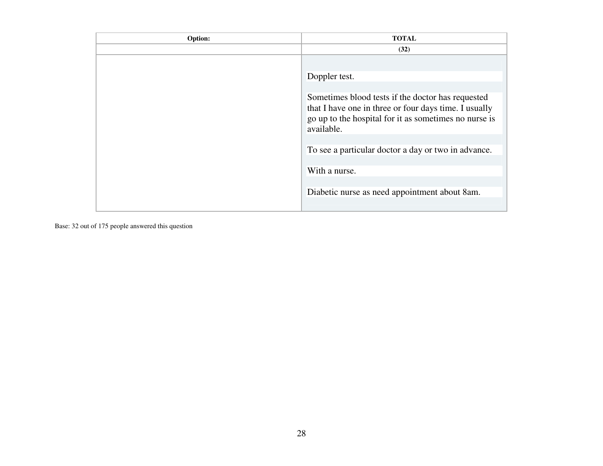| Option: | <b>TOTAL</b>                                                                                                                                                                      |
|---------|-----------------------------------------------------------------------------------------------------------------------------------------------------------------------------------|
|         | (32)                                                                                                                                                                              |
|         |                                                                                                                                                                                   |
|         | Doppler test.                                                                                                                                                                     |
|         |                                                                                                                                                                                   |
|         | Sometimes blood tests if the doctor has requested<br>that I have one in three or four days time. I usually<br>go up to the hospital for it as sometimes no nurse is<br>available. |
|         |                                                                                                                                                                                   |
|         | To see a particular doctor a day or two in advance.                                                                                                                               |
|         | With a nurse.                                                                                                                                                                     |
|         | Diabetic nurse as need appointment about 8am.                                                                                                                                     |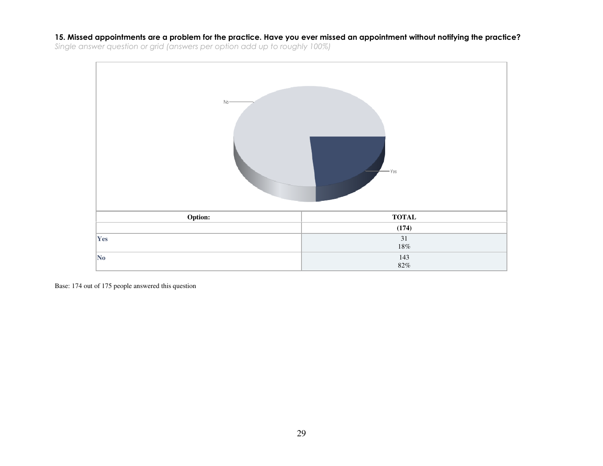15. Missed appointments are a problem for the practice. Have you ever missed an appointment without notifying the practice?Single answer question or grid (answers per option add up to roughly 100%)

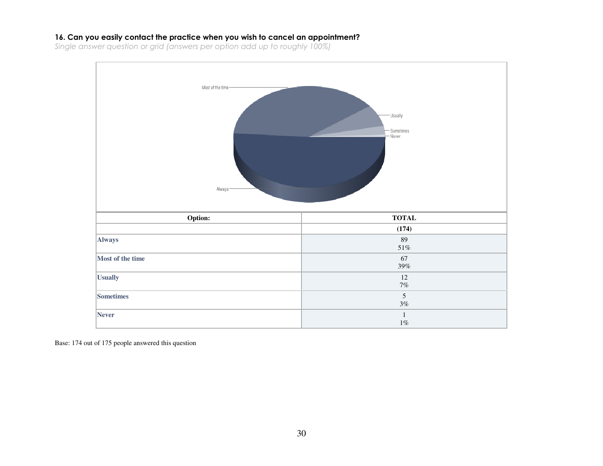#### 16. Can you easily contact the practice when you wish to cancel an appointment?

Single answer question or grid (answers per option add up to roughly 100%)

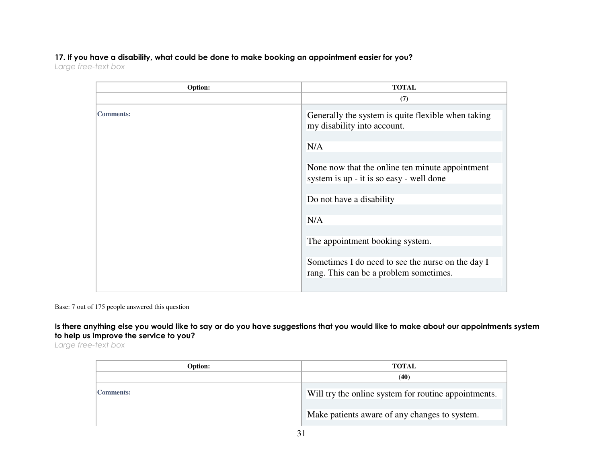# 17. If you have a disability, what could be done to make booking an appointment easier for you?

Large free-text box

| Option:          | <b>TOTAL</b>                                                                                |
|------------------|---------------------------------------------------------------------------------------------|
|                  | (7)                                                                                         |
| <b>Comments:</b> | Generally the system is quite flexible when taking<br>my disability into account.           |
|                  | N/A                                                                                         |
|                  |                                                                                             |
|                  | None now that the online ten minute appointment<br>system is up - it is so easy - well done |
|                  |                                                                                             |
|                  | Do not have a disability                                                                    |
|                  | N/A                                                                                         |
|                  | The appointment booking system.                                                             |
|                  | Sometimes I do need to see the nurse on the day I<br>rang. This can be a problem sometimes. |
|                  |                                                                                             |

Base: 7 out of 175 people answered this question

Is there anything else you would like to say or do you have suggestions that you would like to make about our appointments system to help us improve the service to you?

Large free-text box

| Option:          | <b>TOTAL</b>                                         |
|------------------|------------------------------------------------------|
|                  | (40)                                                 |
| <b>Comments:</b> | Will try the online system for routine appointments. |
|                  | Make patients aware of any changes to system.        |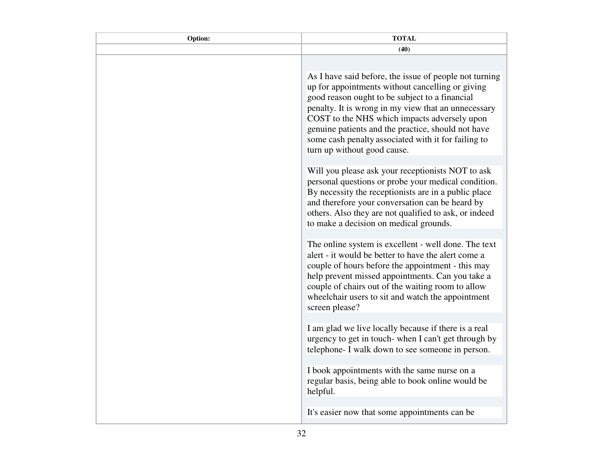| Option: | <b>TOTAL</b>                                                                                                                                                                                                                                                                                                                                                                                                    |
|---------|-----------------------------------------------------------------------------------------------------------------------------------------------------------------------------------------------------------------------------------------------------------------------------------------------------------------------------------------------------------------------------------------------------------------|
|         | (40)                                                                                                                                                                                                                                                                                                                                                                                                            |
|         |                                                                                                                                                                                                                                                                                                                                                                                                                 |
|         | As I have said before, the issue of people not turning<br>up for appointments without cancelling or giving<br>good reason ought to be subject to a financial<br>penalty. It is wrong in my view that an unnecessary<br>COST to the NHS which impacts adversely upon<br>genuine patients and the practice, should not have<br>some cash penalty associated with it for failing to<br>turn up without good cause. |
|         | Will you please ask your receptionists NOT to ask<br>personal questions or probe your medical condition.<br>By necessity the receptionists are in a public place<br>and therefore your conversation can be heard by<br>others. Also they are not qualified to ask, or indeed<br>to make a decision on medical grounds.                                                                                          |
|         | The online system is excellent - well done. The text<br>alert - it would be better to have the alert come a<br>couple of hours before the appointment - this may<br>help prevent missed appointments. Can you take a<br>couple of chairs out of the waiting room to allow<br>wheelchair users to sit and watch the appointment<br>screen please?                                                                |
|         | I am glad we live locally because if there is a real<br>urgency to get in touch-when I can't get through by<br>telephone- I walk down to see someone in person.                                                                                                                                                                                                                                                 |
|         | I book appointments with the same nurse on a<br>regular basis, being able to book online would be<br>helpful.                                                                                                                                                                                                                                                                                                   |
|         | It's easier now that some appointments can be                                                                                                                                                                                                                                                                                                                                                                   |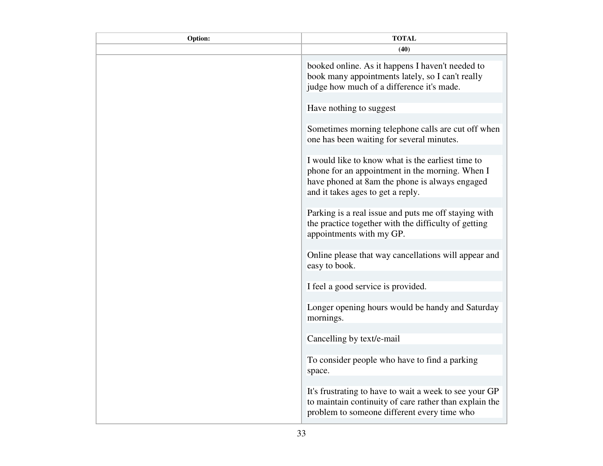| Option: | <b>TOTAL</b>                                                                                                                                                                                |
|---------|---------------------------------------------------------------------------------------------------------------------------------------------------------------------------------------------|
|         | (40)                                                                                                                                                                                        |
|         | booked online. As it happens I haven't needed to<br>book many appointments lately, so I can't really<br>judge how much of a difference it's made.                                           |
|         | Have nothing to suggest                                                                                                                                                                     |
|         | Sometimes morning telephone calls are cut off when<br>one has been waiting for several minutes.                                                                                             |
|         | I would like to know what is the earliest time to<br>phone for an appointment in the morning. When I<br>have phoned at 8am the phone is always engaged<br>and it takes ages to get a reply. |
|         | Parking is a real issue and puts me off staying with<br>the practice together with the difficulty of getting<br>appointments with my GP.                                                    |
|         | Online please that way cancellations will appear and<br>easy to book.                                                                                                                       |
|         | I feel a good service is provided.                                                                                                                                                          |
|         | Longer opening hours would be handy and Saturday<br>mornings.                                                                                                                               |
|         | Cancelling by text/e-mail                                                                                                                                                                   |
|         | To consider people who have to find a parking<br>space.                                                                                                                                     |
|         | It's frustrating to have to wait a week to see your GP<br>to maintain continuity of care rather than explain the<br>problem to someone different every time who                             |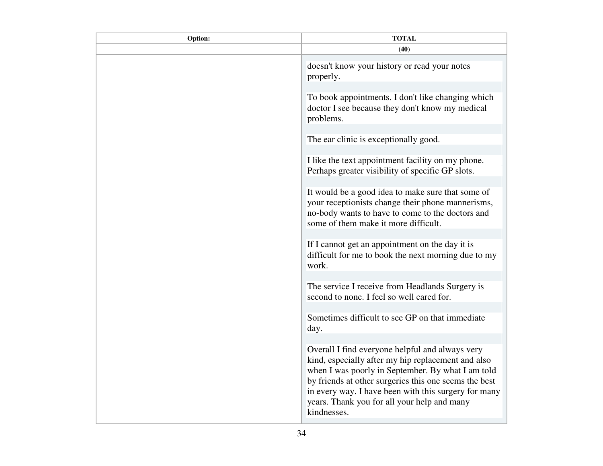| Option: | <b>TOTAL</b>                                                                                                                                                                                                                                                                                                                              |
|---------|-------------------------------------------------------------------------------------------------------------------------------------------------------------------------------------------------------------------------------------------------------------------------------------------------------------------------------------------|
|         | (40)                                                                                                                                                                                                                                                                                                                                      |
|         | doesn't know your history or read your notes<br>properly.                                                                                                                                                                                                                                                                                 |
|         | To book appointments. I don't like changing which<br>doctor I see because they don't know my medical<br>problems.                                                                                                                                                                                                                         |
|         | The ear clinic is exceptionally good.                                                                                                                                                                                                                                                                                                     |
|         | I like the text appointment facility on my phone.<br>Perhaps greater visibility of specific GP slots.                                                                                                                                                                                                                                     |
|         | It would be a good idea to make sure that some of<br>your receptionists change their phone mannerisms,<br>no-body wants to have to come to the doctors and<br>some of them make it more difficult.                                                                                                                                        |
|         | If I cannot get an appointment on the day it is<br>difficult for me to book the next morning due to my<br>work.                                                                                                                                                                                                                           |
|         | The service I receive from Headlands Surgery is<br>second to none. I feel so well cared for.                                                                                                                                                                                                                                              |
|         | Sometimes difficult to see GP on that immediate<br>day.                                                                                                                                                                                                                                                                                   |
|         | Overall I find everyone helpful and always very<br>kind, especially after my hip replacement and also<br>when I was poorly in September. By what I am told<br>by friends at other surgeries this one seems the best<br>in every way. I have been with this surgery for many<br>years. Thank you for all your help and many<br>kindnesses. |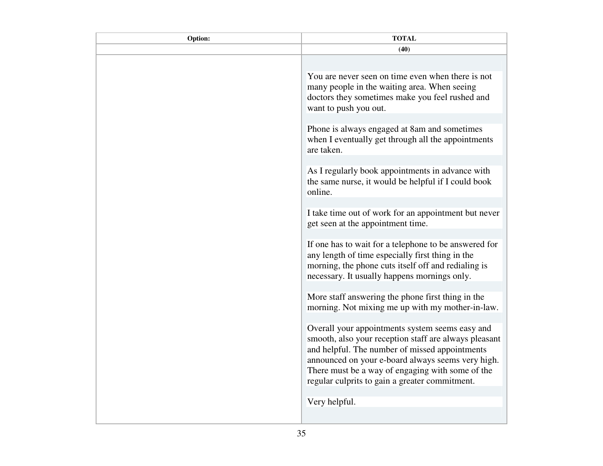| Option: | <b>TOTAL</b>                                                                                                                                                                                                                                                                                                          |
|---------|-----------------------------------------------------------------------------------------------------------------------------------------------------------------------------------------------------------------------------------------------------------------------------------------------------------------------|
|         | (40)                                                                                                                                                                                                                                                                                                                  |
|         |                                                                                                                                                                                                                                                                                                                       |
|         | You are never seen on time even when there is not<br>many people in the waiting area. When seeing<br>doctors they sometimes make you feel rushed and<br>want to push you out.                                                                                                                                         |
|         | Phone is always engaged at 8am and sometimes<br>when I eventually get through all the appointments                                                                                                                                                                                                                    |
|         | are taken.                                                                                                                                                                                                                                                                                                            |
|         | As I regularly book appointments in advance with<br>the same nurse, it would be helpful if I could book<br>online.                                                                                                                                                                                                    |
|         | I take time out of work for an appointment but never<br>get seen at the appointment time.                                                                                                                                                                                                                             |
|         | If one has to wait for a telephone to be answered for<br>any length of time especially first thing in the<br>morning, the phone cuts itself off and redialing is<br>necessary. It usually happens mornings only.                                                                                                      |
|         | More staff answering the phone first thing in the<br>morning. Not mixing me up with my mother-in-law.                                                                                                                                                                                                                 |
|         | Overall your appointments system seems easy and<br>smooth, also your reception staff are always pleasant<br>and helpful. The number of missed appointments<br>announced on your e-board always seems very high.<br>There must be a way of engaging with some of the<br>regular culprits to gain a greater commitment. |
|         | Very helpful.                                                                                                                                                                                                                                                                                                         |
|         |                                                                                                                                                                                                                                                                                                                       |
|         |                                                                                                                                                                                                                                                                                                                       |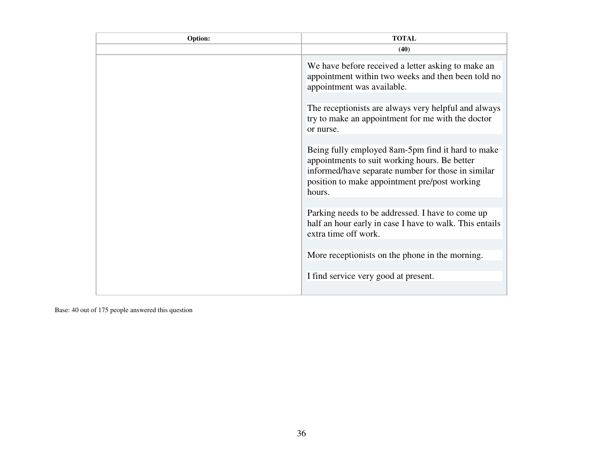| Option: | <b>TOTAL</b>                                                                                                                                                                                                        |
|---------|---------------------------------------------------------------------------------------------------------------------------------------------------------------------------------------------------------------------|
|         | (40)                                                                                                                                                                                                                |
|         | We have before received a letter asking to make an<br>appointment within two weeks and then been told no<br>appointment was available.                                                                              |
|         | The receptionists are always very helpful and always<br>try to make an appointment for me with the doctor<br>or nurse.                                                                                              |
|         | Being fully employed 8am-5pm find it hard to make<br>appointments to suit working hours. Be better<br>informed/have separate number for those in similar<br>position to make appointment pre/post working<br>hours. |
|         | Parking needs to be addressed. I have to come up<br>half an hour early in case I have to walk. This entails<br>extra time off work.                                                                                 |
|         | More receptionists on the phone in the morning.                                                                                                                                                                     |
|         | I find service very good at present.                                                                                                                                                                                |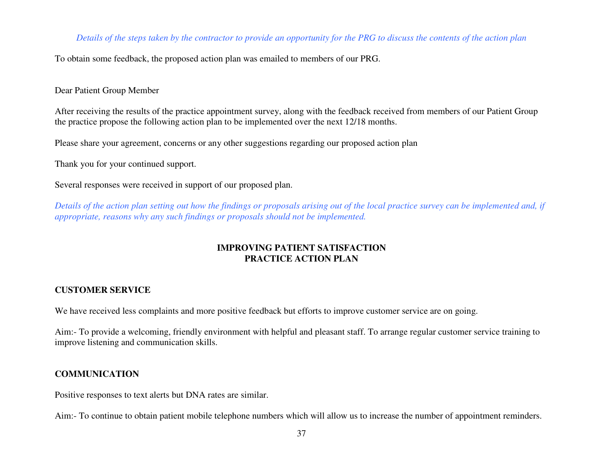#### *Details of the steps taken by the contractor to provide an opportunity for the PRG to discuss the contents of the action plan*

To obtain some feedback, the proposed action plan was emailed to members of our PRG.

Dear Patient Group Member

After receiving the results of the practice appointment survey, along with the feedback received from members of our Patient Group the practice propose the following action plan to be implemented over the next 12/18 months.

Please share your agreement, concerns or any other suggestions regarding our proposed action plan

Thank you for your continued support.

Several responses were received in support of our proposed plan.

*Details of the action plan setting out how the findings or proposals arising out of the local practice survey can be implemented and, if appropriate, reasons why any such findings or proposals should not be implemented.* 

## **IMPROVING PATIENT SATISFACTION PRACTICE ACTION PLAN**

# **CUSTOMER SERVICE**

We have received less complaints and more positive feedback but efforts to improve customer service are on going.

Aim:- To provide a welcoming, friendly environment with helpful and pleasant staff. To arrange regular customer service training to improve listening and communication skills.

# **COMMUNICATION**

Positive responses to text alerts but DNA rates are similar.

Aim:- To continue to obtain patient mobile telephone numbers which will allow us to increase the number of appointment reminders.